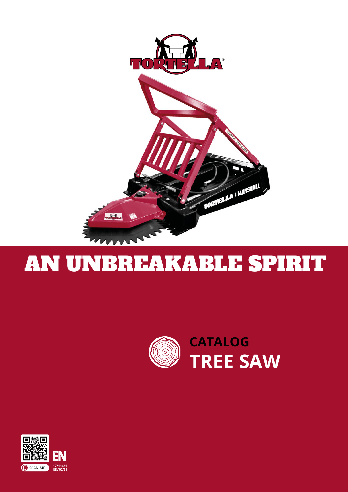

# AN UNBREAKABLE SPIRIT



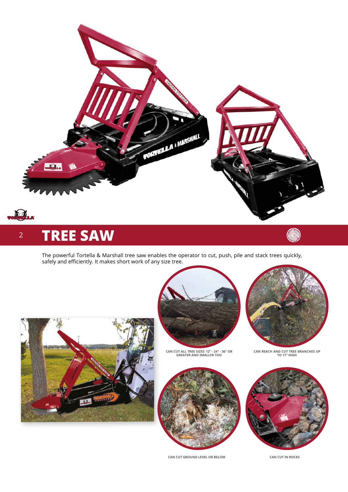

#### 2 **TREE SAW**

The powerful Tortella & Marshall tree saw enables the operator to cut, push, pile and stack trees quickly, safely and efficiently. It makes short work of any size tree.





**CAN CUT ALL TREE SIZES: 12" - 24" - 36" OR GREATER AND SMALLER TOO**



**CAN CUT GROUND LEVEL OR BELOW**



**CAN REACH AND CUT TREE BRANCHES UP TO 17" HIGH**



**CAN CUT IN ROCKS**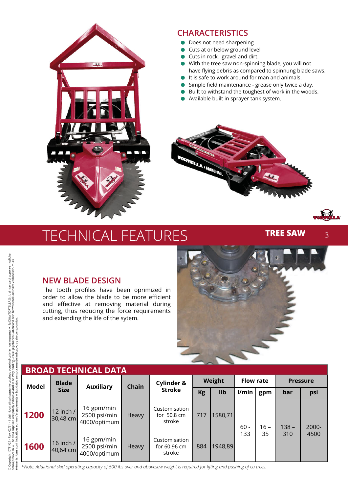

### **CHARACTERISTICS**

- Does not need sharpening
- Cuts at or below ground level
- Cuts in rock, gravel and dirt.
- > With the tree saw non-spinning blade, you will not have flying debris as compared to spinnung blade saws.
- It is safe to work around for man and animals.
- $\bullet$  Simple field maintenance grease only twice a day.
- Built to withstand the toughest of work in the woods.
- > Available built in sprayer tank system.



## TECHNICAL FEATURES

**TREE SAW**

3

### **NEW BLADE DESIGN**

The tooth profiles have been oprimized in order to allow the blade to be more efficient and effective at removing material during cutting, thus reducing the force requirements and extending the life of the sytem.



| <b>BROAD TECHNICAL DATA</b> |                             |                                            |              |                                                  |        |         |                  |              |                 |               |
|-----------------------------|-----------------------------|--------------------------------------------|--------------|--------------------------------------------------|--------|---------|------------------|--------------|-----------------|---------------|
| <b>Model</b>                | <b>Blade</b><br><b>Size</b> | <b>Auxiliary</b>                           | <b>Chain</b> | Cylinder &<br><b>Stroke</b>                      | Weight |         | <b>Flow rate</b> |              | <b>Pressure</b> |               |
|                             |                             |                                            |              |                                                  | Kg     | lib     | l/min            | gpm          | bar             | psi           |
| 1200                        | 12 inch /<br>30,48 cm       | 16 gpm/min<br>2500 psi/min<br>4000/optimum | <b>Heavy</b> | Customisation<br>for $50.8 \text{ cm}$<br>stroke | 717    | 1580,71 | $60 -$<br>133    | $16 -$<br>35 | $138 -$<br>310  | 2000-<br>4500 |
| 1600                        | 16 inch /<br>40,64 cm       | 16 gpm/min<br>2500 psi/min<br>4000/optimum | <b>Heavy</b> | Customisation<br>for 60.96 cm<br>stroke          | 884    | 1948,89 |                  |              |                 |               |

*\*Note: Additional skid operating capacity of 500 ibs over and abovesaw weight is required for lifting and pushing of cu trees.*